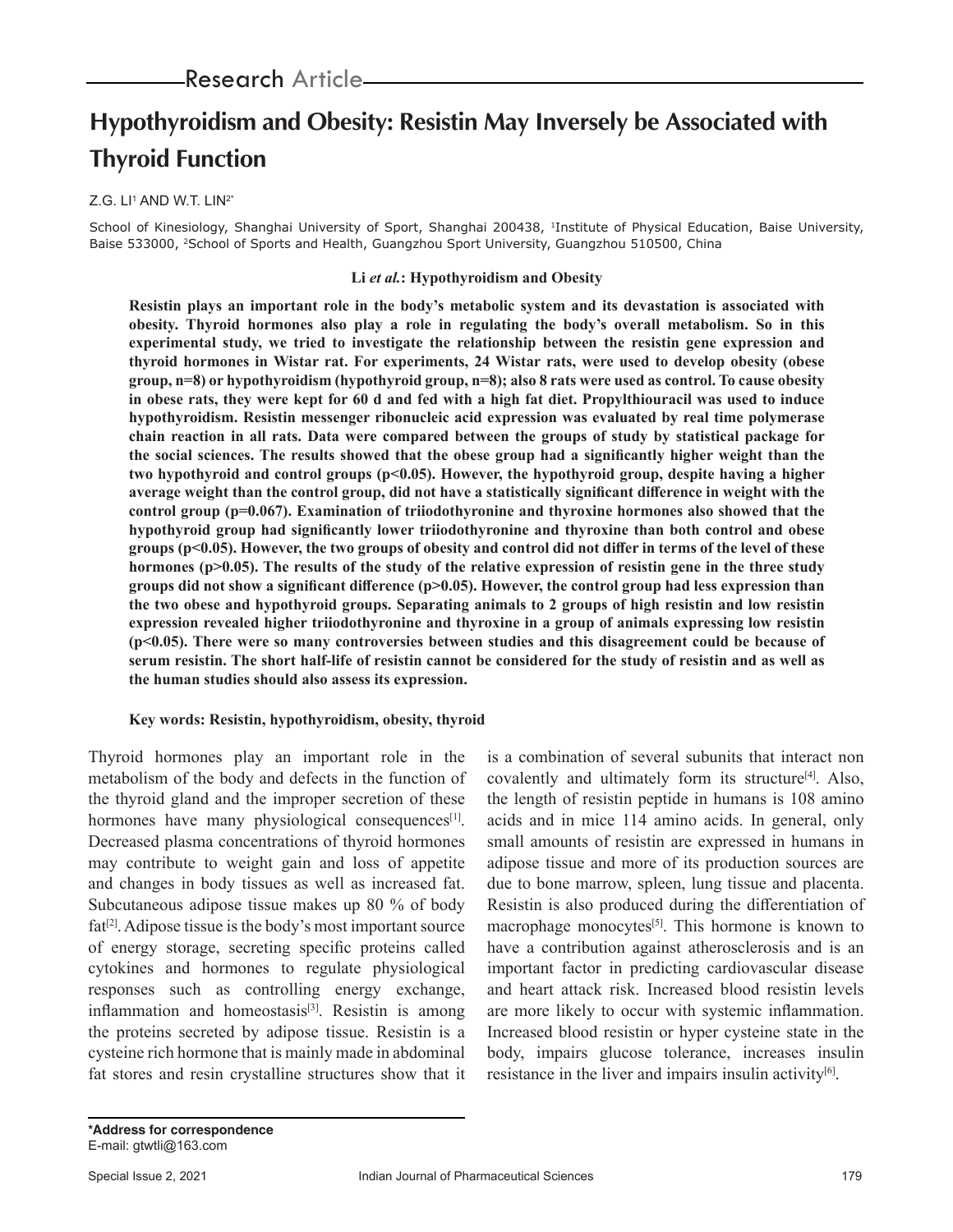# **Hypothyroidism and Obesity: Resistin May Inversely be Associated with Thyroid Function**

### Z.G. LI† AND W.T. LIN<del>?</del>\*

School of Kinesiology, Shanghai University of Sport, Shanghai 200438, <sup>1</sup>Institute of Physical Education, Baise University, Baise 533000, <sup>2</sup>School of Sports and Health, Guangzhou Sport University, Guangzhou 510500, China

#### **Li** *et al.***: Hypothyroidism and Obesity**

**Resistin plays an important role in the body's metabolic system and its devastation is associated with obesity. Thyroid hormones also play a role in regulating the body's overall metabolism. So in this experimental study, we tried to investigate the relationship between the resistin gene expression and thyroid hormones in Wistar rat. For experiments, 24 Wistar rats, were used to develop obesity (obese group, n=8) or hypothyroidism (hypothyroid group, n=8); also 8 rats were used as control. To cause obesity in obese rats, they were kept for 60 d and fed with a high fat diet. Propylthiouracil was used to induce hypothyroidism. Resistin messenger ribonucleic acid expression was evaluated by real time polymerase chain reaction in all rats. Data were compared between the groups of study by statistical package for the social sciences. The results showed that the obese group had a significantly higher weight than the two hypothyroid and control groups (p<0.05). However, the hypothyroid group, despite having a higher average weight than the control group, did not have a statistically significant difference in weight with the control group (p=0.067). Examination of triiodothyronine and thyroxine hormones also showed that the hypothyroid group had significantly lower triiodothyronine and thyroxine than both control and obese groups (p<0.05). However, the two groups of obesity and control did not differ in terms of the level of these hormones (p>0.05). The results of the study of the relative expression of resistin gene in the three study groups did not show a significant difference (p>0.05). However, the control group had less expression than the two obese and hypothyroid groups. Separating animals to 2 groups of high resistin and low resistin expression revealed higher triiodothyronine and thyroxine in a group of animals expressing low resistin (p<0.05). There were so many controversies between studies and this disagreement could be because of serum resistin. The short half-life of resistin cannot be considered for the study of resistin and as well as the human studies should also assess its expression.**

#### **Key words: Resistin, hypothyroidism, obesity, thyroid**

Thyroid hormones play an important role in the metabolism of the body and defects in the function of the thyroid gland and the improper secretion of these hormones have many physiological consequences<sup>[1]</sup>. Decreased plasma concentrations of thyroid hormones may contribute to weight gain and loss of appetite and changes in body tissues as well as increased fat. Subcutaneous adipose tissue makes up 80 % of body  $fat^{[2]}$ . Adipose tissue is the body's most important source of energy storage, secreting specific proteins called cytokines and hormones to regulate physiological responses such as controlling energy exchange, inflammation and homeostasis<sup>[3]</sup>. Resistin is among the proteins secreted by adipose tissue. Resistin is a cysteine rich hormone that is mainly made in abdominal fat stores and resin crystalline structures show that it

is a combination of several subunits that interact non covalently and ultimately form its structure<sup>[4]</sup>. Also, the length of resistin peptide in humans is 108 amino acids and in mice 114 amino acids. In general, only small amounts of resistin are expressed in humans in adipose tissue and more of its production sources are due to bone marrow, spleen, lung tissue and placenta. Resistin is also produced during the differentiation of macrophage monocytes<sup>[5]</sup>. This hormone is known to have a contribution against atherosclerosis and is an important factor in predicting cardiovascular disease and heart attack risk. Increased blood resistin levels are more likely to occur with systemic inflammation. Increased blood resistin or hyper cysteine state in the body, impairs glucose tolerance, increases insulin resistance in the liver and impairs insulin activity<sup>[6]</sup>.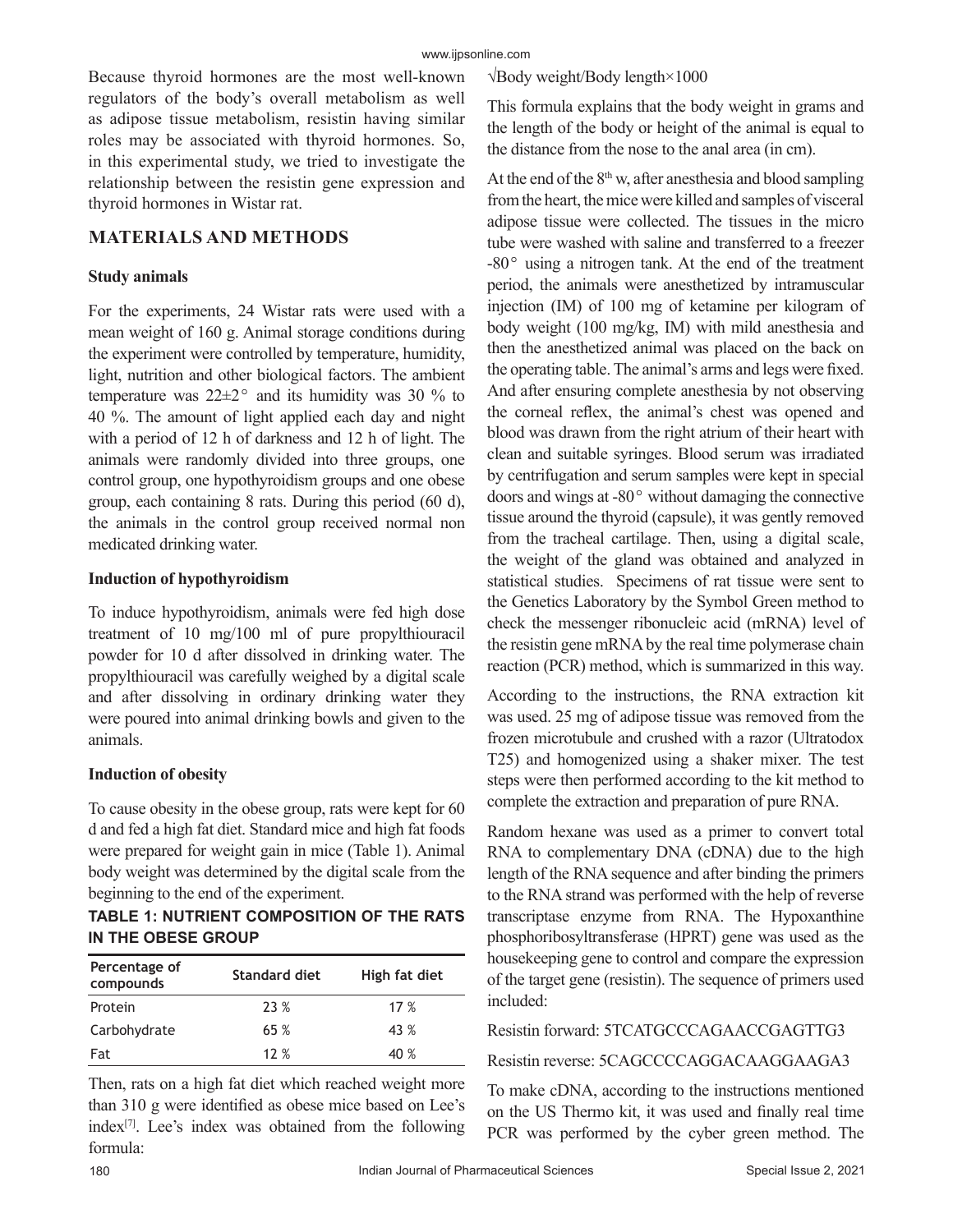Because thyroid hormones are the most well-known regulators of the body's overall metabolism as well as adipose tissue metabolism, resistin having similar roles may be associated with thyroid hormones. So, in this experimental study, we tried to investigate the relationship between the resistin gene expression and thyroid hormones in Wistar rat.

# **MATERIALS AND METHODS**

## **Study animals**

For the experiments, 24 Wistar rats were used with a mean weight of 160 g. Animal storage conditions during the experiment were controlled by temperature, humidity, light, nutrition and other biological factors. The ambient temperature was  $22\pm2$ <sup>o</sup> and its humidity was 30 % to 40 %. The amount of light applied each day and night with a period of 12 h of darkness and 12 h of light. The animals were randomly divided into three groups, one control group, one hypothyroidism groups and one obese group, each containing 8 rats. During this period (60 d), the animals in the control group received normal non medicated drinking water.

### **Induction of hypothyroidism**

To induce hypothyroidism, animals were fed high dose treatment of 10 mg/100 ml of pure propylthiouracil powder for 10 d after dissolved in drinking water. The propylthiouracil was carefully weighed by a digital scale and after dissolving in ordinary drinking water they were poured into animal drinking bowls and given to the animals.

# **Induction of obesity**

To cause obesity in the obese group, rats were kept for 60 d and fed a high fat diet. Standard mice and high fat foods were prepared for weight gain in mice (Table 1). Animal body weight was determined by the digital scale from the beginning to the end of the experiment.

# **TABLE 1: NUTRIENT COMPOSITION OF THE RATS IN THE OBESE GROUP**

| Percentage of<br>compounds | Standard diet | High fat diet |
|----------------------------|---------------|---------------|
| Protein                    | 23 %          | 17%           |
| Carbohydrate               | 65%           | 43 %          |
| Fat                        | 12%           | 40 %          |

Then, rats on a high fat diet which reached weight more than 310 g were identified as obese mice based on Lee's index $[7]$ . Lee's index was obtained from the following formula:

√Body weight/Body length×1000

This formula explains that the body weight in grams and the length of the body or height of the animal is equal to the distance from the nose to the anal area (in cm).

At the end of the  $8<sup>th</sup>$  w, after anesthesia and blood sampling from the heart, the mice were killed and samples of visceral adipose tissue were collected. The tissues in the micro tube were washed with saline and transferred to a freezer  $-80^\circ$  using a nitrogen tank. At the end of the treatment period, the animals were anesthetized by intramuscular injection (IM) of 100 mg of ketamine per kilogram of body weight (100 mg/kg, IM) with mild anesthesia and then the anesthetized animal was placed on the back on the operating table. The animal's arms and legs were fixed. And after ensuring complete anesthesia by not observing the corneal reflex, the animal's chest was opened and blood was drawn from the right atrium of their heart with clean and suitable syringes. Blood serum was irradiated by centrifugation and serum samples were kept in special doors and wings at  $-80^\circ$  without damaging the connective tissue around the thyroid (capsule), it was gently removed from the tracheal cartilage. Then, using a digital scale, the weight of the gland was obtained and analyzed in statistical studies. Specimens of rat tissue were sent to the Genetics Laboratory by the Symbol Green method to check the messenger ribonucleic acid (mRNA) level of the resistin gene mRNA by the real time polymerase chain reaction (PCR) method, which is summarized in this way.

According to the instructions, the RNA extraction kit was used. 25 mg of adipose tissue was removed from the frozen microtubule and crushed with a razor (Ultratodox T25) and homogenized using a shaker mixer. The test steps were then performed according to the kit method to complete the extraction and preparation of pure RNA.

Random hexane was used as a primer to convert total RNA to complementary DNA (cDNA) due to the high length of the RNA sequence and after binding the primers to the RNA strand was performed with the help of reverse transcriptase enzyme from RNA. The Hypoxanthine phosphoribosyltransferase (HPRT) gene was used as the housekeeping gene to control and compare the expression of the target gene (resistin). The sequence of primers used included:

# Resistin forward: 5TCATGCCCAGAACCGAGTTG3

Resistin reverse: 5CAGCCCCAGGACAAGGAAGA3

To make cDNA, according to the instructions mentioned on the US Thermo kit, it was used and finally real time PCR was performed by the cyber green method. The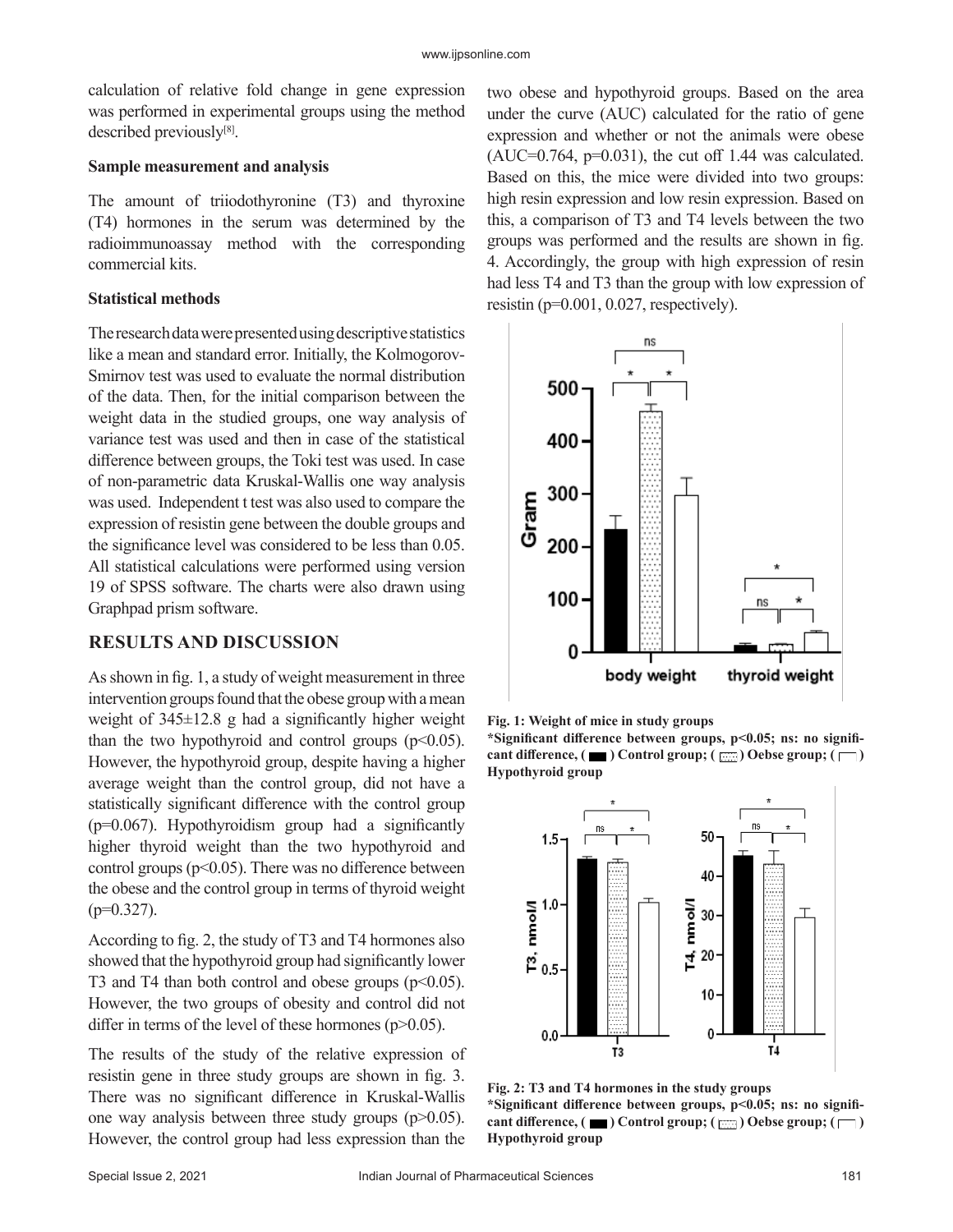calculation of relative fold change in gene expression was performed in experimental groups using the method described previously<sup>[8]</sup>.

#### **Sample measurement and analysis**

The amount of triiodothyronine (T3) and thyroxine (T4) hormones in the serum was determined by the radioimmunoassay method with the corresponding commercial kits.

#### **Statistical methods**

The research data were presented using descriptive statistics like a mean and standard error. Initially, the Kolmogorov-Smirnov test was used to evaluate the normal distribution of the data. Then, for the initial comparison between the weight data in the studied groups, one way analysis of variance test was used and then in case of the statistical difference between groups, the Toki test was used. In case of non-parametric data Kruskal-Wallis one way analysis was used. Independent t test was also used to compare the expression of resistin gene between the double groups and the significance level was considered to be less than 0.05. All statistical calculations were performed using version 19 of SPSS software. The charts were also drawn using Graphpad prism software.

### **RESULTS AND DISCUSSION**

As shown in fig. 1, a study of weight measurement in three intervention groups found that the obese group with a mean weight of  $345\pm12.8$  g had a significantly higher weight than the two hypothyroid and control groups  $(p<0.05)$ . However, the hypothyroid group, despite having a higher average weight than the control group, did not have a statistically significant difference with the control group  $(p=0.067)$ . Hypothyroidism group had a significantly higher thyroid weight than the two hypothyroid and control groups ( $p<0.05$ ). There was no difference between the obese and the control group in terms of thyroid weight  $(p=0.327)$ .

According to fig. 2, the study of T3 and T4 hormones also showed that the hypothyroid group had significantly lower T3 and T4 than both control and obese groups  $(p<0.05)$ . However, the two groups of obesity and control did not differ in terms of the level of these hormones ( $p$  $>$ 0.05).

The results of the study of the relative expression of resistin gene in three study groups are shown in fig. 3. There was no significant difference in Kruskal-Wallis one way analysis between three study groups  $(p>0.05)$ . However, the control group had less expression than the two obese and hypothyroid groups. Based on the area under the curve (AUC) calculated for the ratio of gene expression and whether or not the animals were obese  $(AUC=0.764, p=0.031)$ , the cut off 1.44 was calculated. Based on this, the mice were divided into two groups: high resin expression and low resin expression. Based on this, a comparison of T3 and T4 levels between the two groups was performed and the results are shown in fig. 4. Accordingly, the group with high expression of resin had less T4 and T3 than the group with low expression of resistin (p=0.001, 0.027, respectively).





**\*Significant difference between groups, p<0.05; ns: no signifi**cant difference,  $(\blacksquare)$  Control group;  $(\blacksquare)$  Oebse group;  $(\blacksquare)$ **Hypothyroid group**



**Fig. 2: T3 and T4 hormones in the study groups \*Significant difference between groups, p<0.05; ns: no signifi**cant difference, ( $\blacksquare$ ) Control group; ( $\boxdot$ ) Oebse group; ( $\Box$ ) **Hypothyroid group**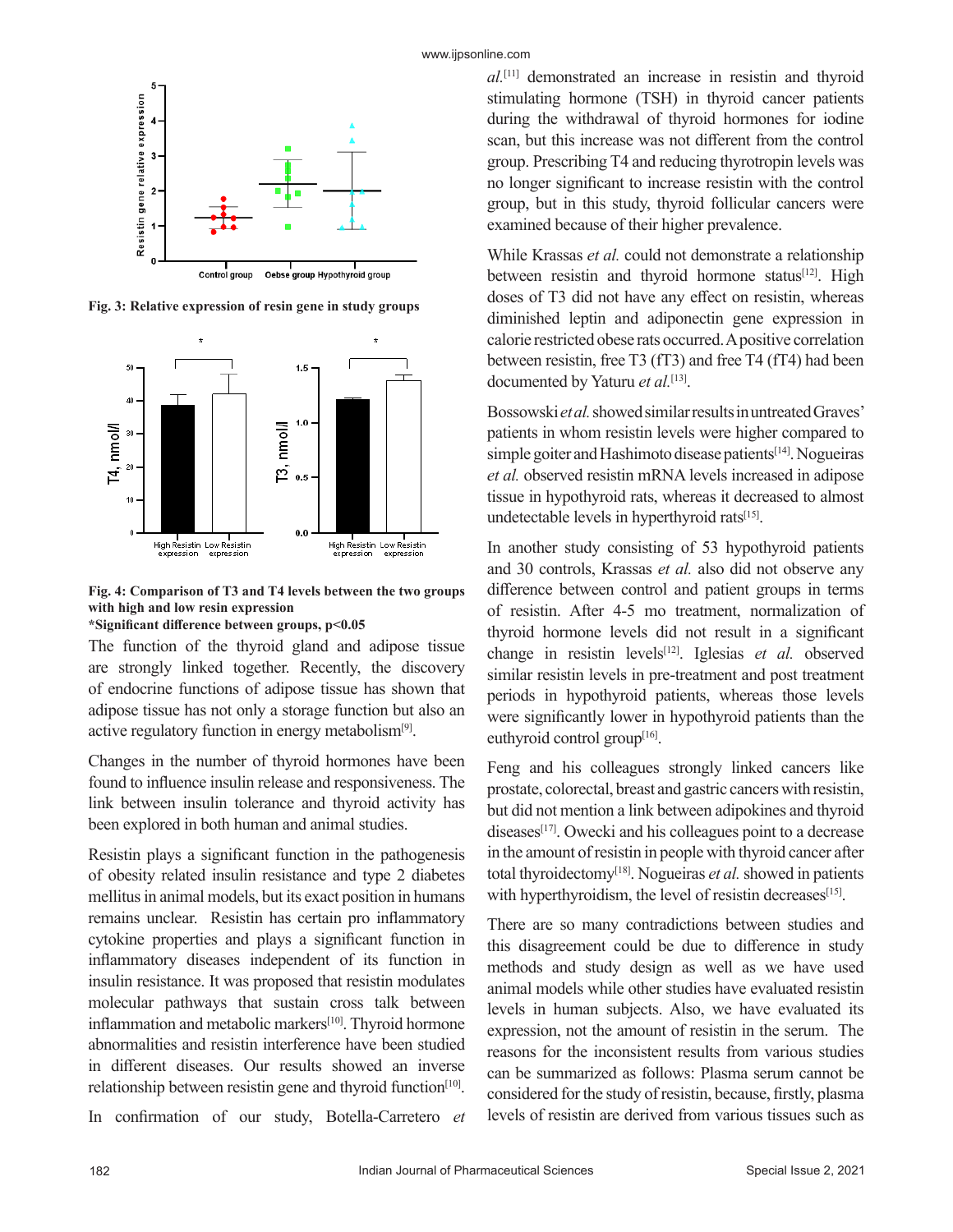

**Fig. 3: Relative expression of resin gene in study groups**



**Fig. 4: Comparison of T3 and T4 levels between the two groups with high and low resin expression**

**\*Significant difference between groups, p<0.05**

The function of the thyroid gland and adipose tissue are strongly linked together. Recently, the discovery of endocrine functions of adipose tissue has shown that adipose tissue has not only a storage function but also an active regulatory function in energy metabolism<sup>[9]</sup>.

Changes in the number of thyroid hormones have been found to influence insulin release and responsiveness. The link between insulin tolerance and thyroid activity has been explored in both human and animal studies.

Resistin plays a significant function in the pathogenesis of obesity related insulin resistance and type 2 diabetes mellitus in animal models, but its exact position in humans remains unclear. Resistin has certain pro inflammatory cytokine properties and plays a significant function in inflammatory diseases independent of its function in insulin resistance. It was proposed that resistin modulates molecular pathways that sustain cross talk between inflammation and metabolic markers<sup>[10]</sup>. Thyroid hormone abnormalities and resistin interference have been studied in different diseases. Our results showed an inverse relationship between resistin gene and thyroid function $[10]$ .

In confirmation of our study, Botella-Carretero *et* 

*al.*[11] demonstrated an increase in resistin and thyroid stimulating hormone (TSH) in thyroid cancer patients during the withdrawal of thyroid hormones for iodine scan, but this increase was not different from the control group. Prescribing T4 and reducing thyrotropin levels was no longer significant to increase resistin with the control group, but in this study, thyroid follicular cancers were examined because of their higher prevalence.

While Krassas *et al.* could not demonstrate a relationship between resistin and thyroid hormone status<sup>[12]</sup>. High doses of T3 did not have any effect on resistin, whereas diminished leptin and adiponectin gene expression in calorie restricted obese rats occurred. A positive correlation between resistin, free T3 (fT3) and free T4 (fT4) had been documented by Yaturu *et al.*[13].

Bossowski *et al.* showed similar results in untreated Graves' patients in whom resistin levels were higher compared to simple goiter and Hashimoto disease patients<sup>[14]</sup>. Nogueiras *et al.* observed resistin mRNA levels increased in adipose tissue in hypothyroid rats, whereas it decreased to almost undetectable levels in hyperthyroid rats<sup>[15]</sup>.

In another study consisting of 53 hypothyroid patients and 30 controls, Krassas *et al.* also did not observe any difference between control and patient groups in terms of resistin. After 4-5 mo treatment, normalization of thyroid hormone levels did not result in a significant change in resistin levels[12]. Iglesias *et al.* observed similar resistin levels in pre-treatment and post treatment periods in hypothyroid patients, whereas those levels were significantly lower in hypothyroid patients than the euthyroid control group<sup>[16]</sup>.

Feng and his colleagues strongly linked cancers like prostate, colorectal, breast and gastric cancers with resistin, but did not mention a link between adipokines and thyroid diseases<sup>[17]</sup>. Owecki and his colleagues point to a decrease in the amount of resistin in people with thyroid cancer after total thyroidectomy<sup>[18]</sup>. Nogueiras et al. showed in patients with hyperthyroidism, the level of resistin decreases $[15]$ .

There are so many contradictions between studies and this disagreement could be due to difference in study methods and study design as well as we have used animal models while other studies have evaluated resistin levels in human subjects. Also, we have evaluated its expression, not the amount of resistin in the serum. The reasons for the inconsistent results from various studies can be summarized as follows: Plasma serum cannot be considered for the study of resistin, because, firstly, plasma levels of resistin are derived from various tissues such as